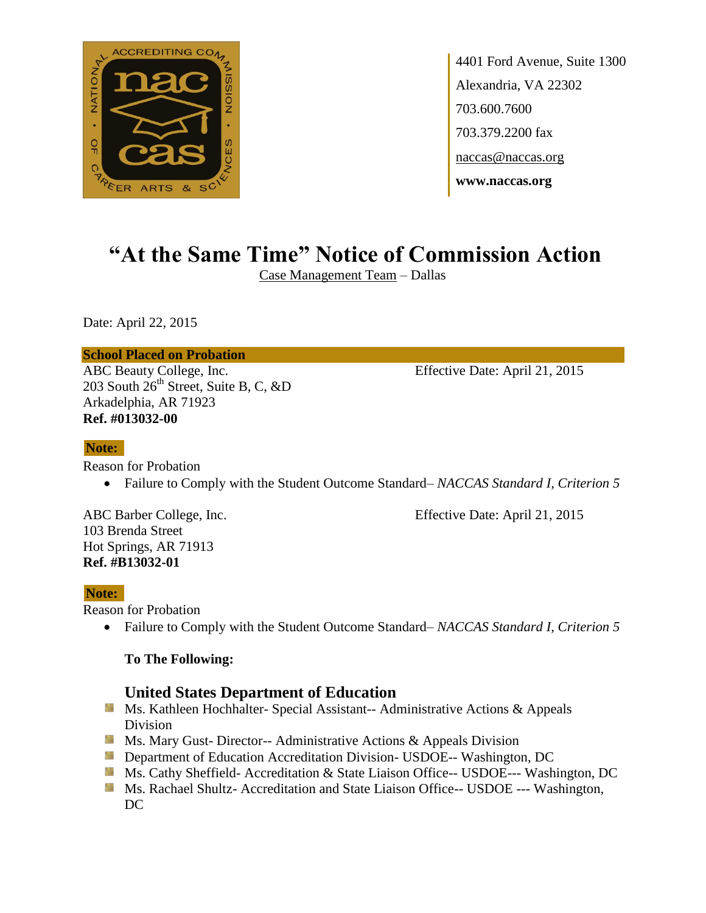

4401 Ford Avenue, Suite 1300 Alexandria, VA 22302 703.600.7600 703.379.2200 fax naccas@naccas.org **www.naccas.org**

# **"At the Same Time" Notice of Commission Action**

Case Management Team – Dallas

Date: April 22, 2015

#### **School Placed on Probation**

ABC Beauty College, Inc. Effective Date: April 21, 2015 203 South  $26<sup>th</sup>$  Street, Suite B, C, &D Arkadelphia, AR 71923 **Ref. #013032-00**

#### **Note:**

Reason for Probation

Failure to Comply with the Student Outcome Standard– *NACCAS Standard I, Criterion 5*

103 Brenda Street Hot Springs, AR 71913 **Ref. #B13032-01**

ABC Barber College, Inc. Effective Date: April 21, 2015

#### **Note:**

Reason for Probation

Failure to Comply with the Student Outcome Standard– *NACCAS Standard I, Criterion 5*

#### **To The Following:**

### **United States Department of Education**

- **MS. Kathleen Hochhalter- Special Assistant-- Administrative Actions & Appeals** Division
- **Ms. Mary Gust- Director-- Administrative Actions & Appeals Division**
- **Externement of Education Accreditation Division- USDOE-- Washington, DC**
- Ms. Cathy Sheffield- Accreditation & State Liaison Office-- USDOE--- Washington, DC
- **MS. Rachael Shultz- Accreditation and State Liaison Office-- USDOE --- Washington,** DC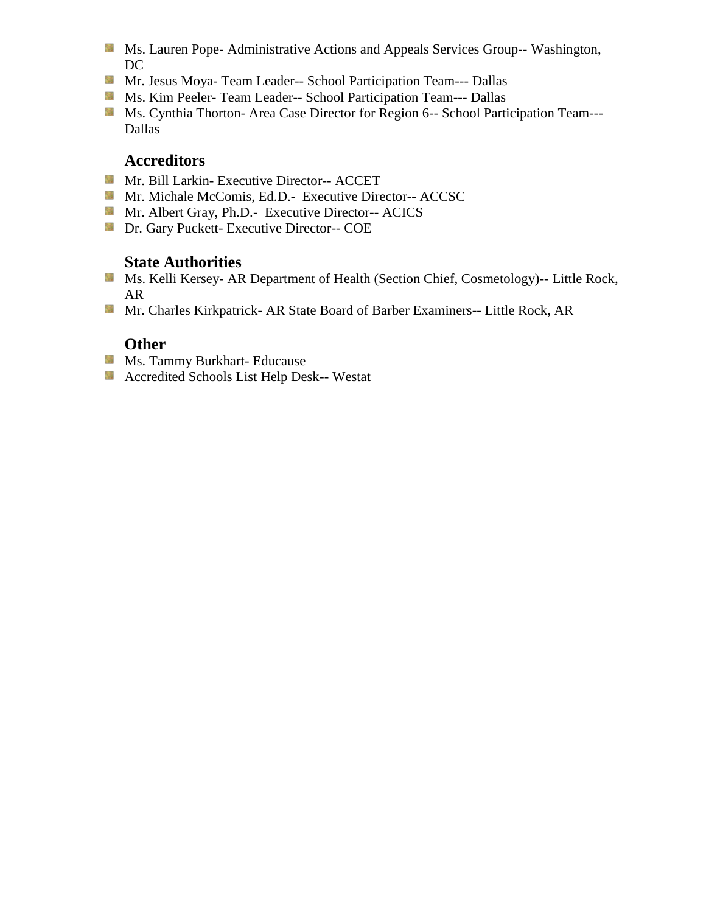- **Ms. Lauren Pope- Administrative Actions and Appeals Services Group-- Washington,** DC
- Mr. Jesus Moya- Team Leader-- School Participation Team--- Dallas
- Ms. Kim Peeler- Team Leader-- School Participation Team--- Dallas
- Ms. Cynthia Thorton- Area Case Director for Region 6-- School Participation Team---Dallas

## **Accreditors**

- Mr. Bill Larkin- Executive Director-- ACCET
- **Mr. Michale McComis, Ed.D.- Executive Director-- ACCSC**
- Mr. Albert Gray, Ph.D.- Executive Director-- ACICS
- **Dr. Gary Puckett- Executive Director-- COE**

## **State Authorities**

- **Ms. Kelli Kersey- AR Department of Health (Section Chief, Cosmetology)**-- Little Rock, AR
- Mr. Charles Kirkpatrick- AR State Board of Barber Examiners-- Little Rock, AR

## **Other**

- **Ms. Tammy Burkhart- Educause**
- Accredited Schools List Help Desk-- Westat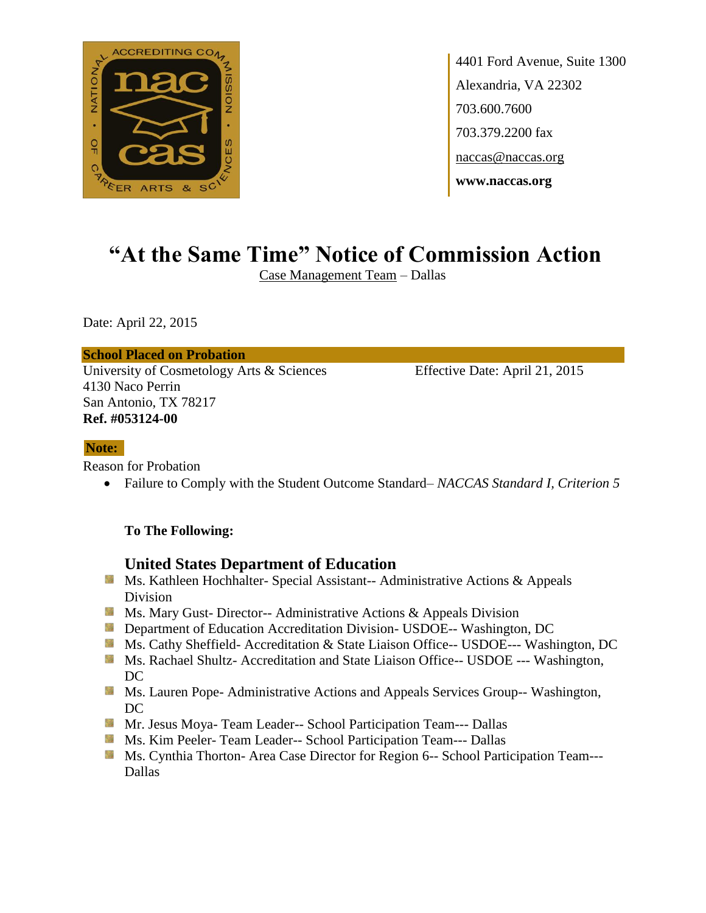

4401 Ford Avenue, Suite 1300 Alexandria, VA 22302 703.600.7600 703.379.2200 fax naccas@naccas.org **www.naccas.org**

# **"At the Same Time" Notice of Commission Action**

Case Management Team – Dallas

Date: April 22, 2015

**School Placed on Probation**

University of Cosmetology Arts & Sciences Effective Date: April 21, 2015 4130 Naco Perrin San Antonio, TX 78217 **Ref. #053124-00**

#### **Note:**

Reason for Probation

Failure to Comply with the Student Outcome Standard– *NACCAS Standard I, Criterion 5*

#### **To The Following:**

### **United States Department of Education**

- **Ms. Kathleen Hochhalter- Special Assistant-- Administrative Actions & Appeals** Division
- **Ms.** Ms. Mary Gust- Director-- Administrative Actions  $\&$  Appeals Division
- **Department of Education Accreditation Division- USDOE-- Washington, DC**
- Ms. Cathy Sheffield- Accreditation & State Liaison Office-- USDOE--- Washington, DC
- **Ms. Rachael Shultz- Accreditation and State Liaison Office-- USDOE --- Washington,** DC
- **MS. Lauren Pope- Administrative Actions and Appeals Services Group-- Washington,** DC
- Mr. Jesus Moya- Team Leader-- School Participation Team--- Dallas
- **Ms. Kim Peeler- Team Leader-- School Participation Team--- Dallas**
- **Ms. Cynthia Thorton- Area Case Director for Region 6-- School Participation Team---**Dallas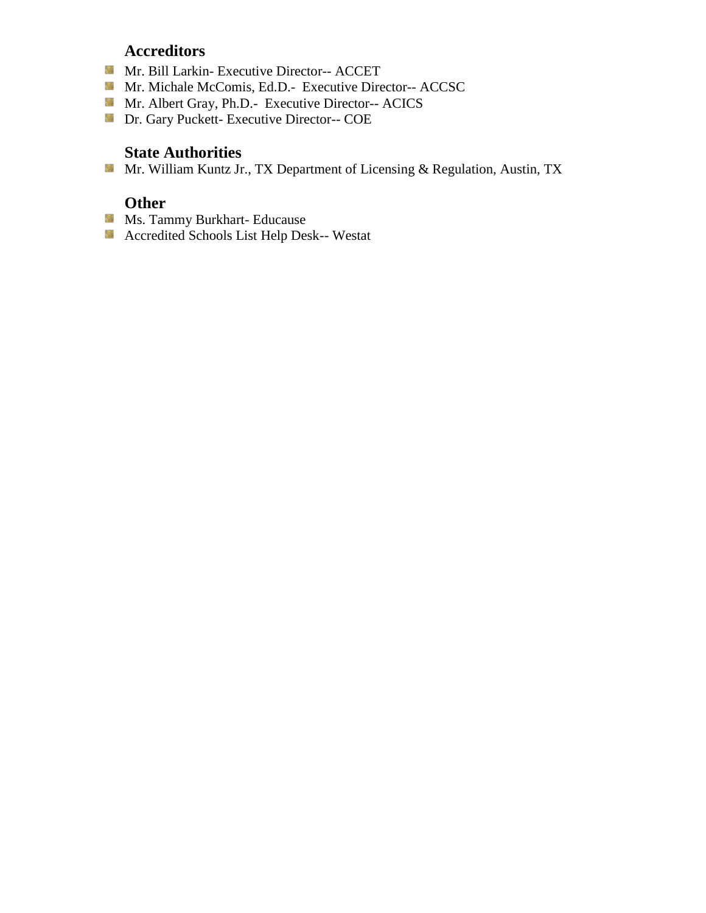## **Accreditors**

- Mr. Bill Larkin- Executive Director-- ACCET
- Mr. Michale McComis, Ed.D.- Executive Director-- ACCSC
- Mr. Albert Gray, Ph.D.- Executive Director-- ACICS
- **Dr. Gary Puckett- Executive Director-- COE**

## **State Authorities**

Mr. William Kuntz Jr., TX Department of Licensing & Regulation, Austin, TX

## **Other**

- **Ms. Tammy Burkhart- Educause**
- Accredited Schools List Help Desk-- Westat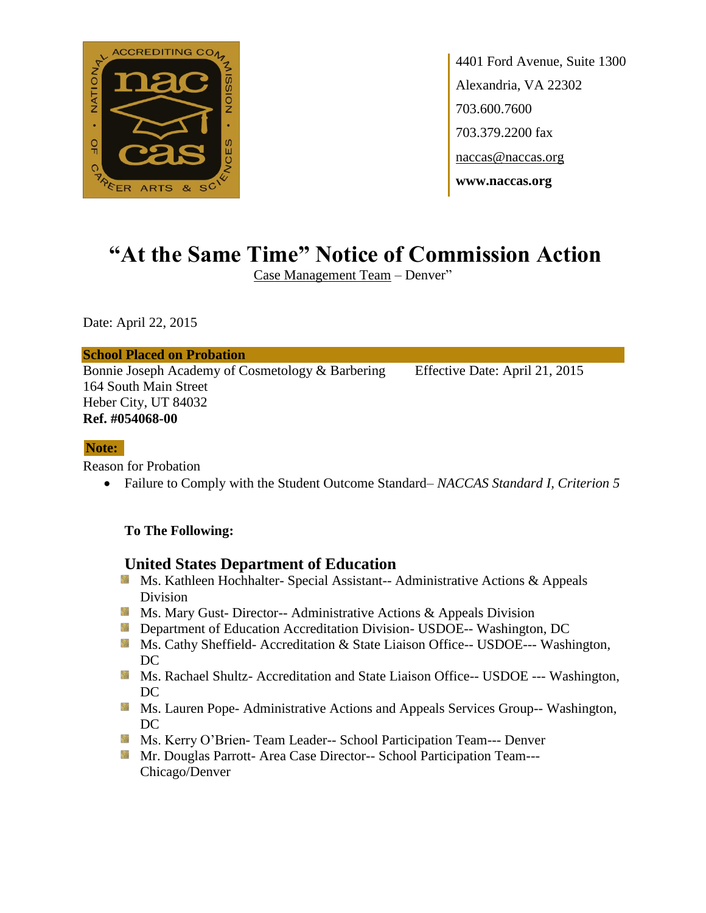

4401 Ford Avenue, Suite 1300 Alexandria, VA 22302 703.600.7600 703.379.2200 fax naccas@naccas.org **www.naccas.org**

# **"At the Same Time" Notice of Commission Action**

Case Management Team – Denver"

Date: April 22, 2015

#### **School Placed on Probation**

Bonnie Joseph Academy of Cosmetology & Barbering Effective Date: April 21, 2015 164 South Main Street Heber City, UT 84032 **Ref. #054068-00**

#### **Note:**

Reason for Probation

Failure to Comply with the Student Outcome Standard– *NACCAS Standard I, Criterion 5*

### **To The Following:**

### **United States Department of Education**

- **Ms. Kathleen Hochhalter- Special Assistant-- Administrative Actions & Appeals** Division
- **MS. Mary Gust- Director-- Administrative Actions & Appeals Division**
- **Department of Education Accreditation Division- USDOE-- Washington, DC**
- **Ms. Cathy Sheffield- Accreditation & State Liaison Office-- USDOE--- Washington,** DC
- Ms. Rachael Shultz- Accreditation and State Liaison Office-- USDOE --- Washington, DC
- **Ms. Lauren Pope- Administrative Actions and Appeals Services Group-- Washington,** DC
- **MS. Kerry O'Brien-Team Leader-- School Participation Team--- Denver**
- Mr. Douglas Parrott- Area Case Director-- School Participation Team---Chicago/Denver